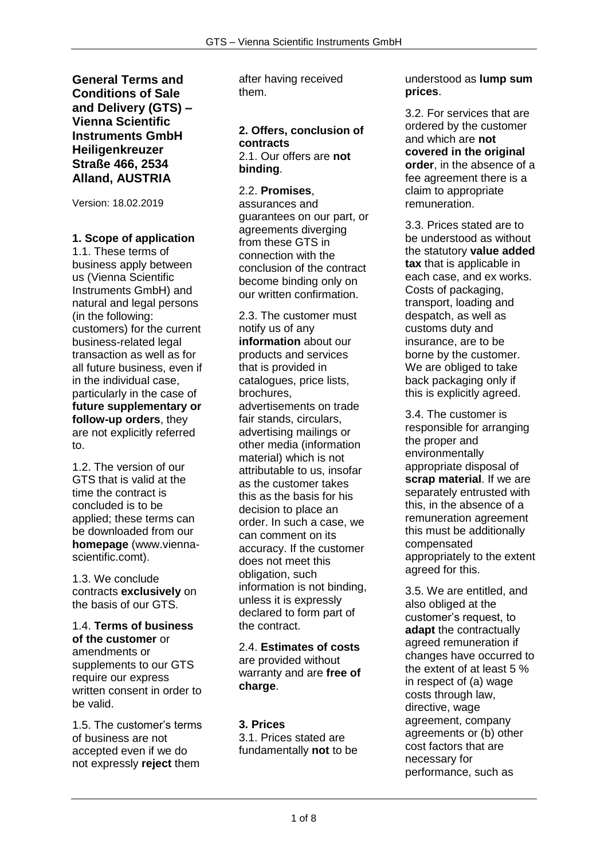**General Terms and Conditions of Sale and Delivery (GTS) – Vienna Scientific Instruments GmbH Heiligenkreuzer Straße 466, 2534 Alland, AUSTRIA**

Version: 18.02.2019

## **1. Scope of application**

1.1. These terms of business apply between us (Vienna Scientific Instruments GmbH) and natural and legal persons (in the following: customers) for the current business-related legal transaction as well as for all future business, even if in the individual case, particularly in the case of **future supplementary or follow-up orders**, they are not explicitly referred to.

1.2. The version of our GTS that is valid at the time the contract is concluded is to be applied; these terms can be downloaded from our **homepage** (www.viennascientific.comt).

1.3. We conclude contracts **exclusively** on the basis of our GTS.

1.4. **Terms of business of the customer** or amendments or supplements to our GTS require our express written consent in order to be valid.

1.5. The customer's terms of business are not accepted even if we do not expressly **reject** them

after having received them.

#### **2. Offers, conclusion of contracts**  2.1. Our offers are **not binding**.

### 2.2. **Promises**,

assurances and guarantees on our part, or agreements diverging from these GTS in connection with the conclusion of the contract become binding only on our written confirmation.

2.3. The customer must notify us of any **information** about our products and services that is provided in catalogues, price lists, brochures, advertisements on trade fair stands, circulars, advertising mailings or other media (information material) which is not attributable to us, insofar as the customer takes this as the basis for his decision to place an order. In such a case, we can comment on its accuracy. If the customer does not meet this obligation, such information is not binding, unless it is expressly declared to form part of the contract.

2.4. **Estimates of costs**  are provided without warranty and are **free of charge**.

### **3. Prices**

3.1. Prices stated are fundamentally **not** to be understood as **lump sum prices**.

3.2. For services that are ordered by the customer and which are **not covered in the original order**, in the absence of a fee agreement there is a claim to appropriate remuneration.

3.3. Prices stated are to be understood as without the statutory **value added tax** that is applicable in each case, and ex works. Costs of packaging, transport, loading and despatch, as well as customs duty and insurance, are to be borne by the customer. We are obliged to take back packaging only if this is explicitly agreed.

3.4. The customer is responsible for arranging the proper and environmentally appropriate disposal of **scrap material**. If we are separately entrusted with this, in the absence of a remuneration agreement this must be additionally compensated appropriately to the extent agreed for this.

3.5. We are entitled, and also obliged at the customer's request, to **adapt** the contractually agreed remuneration if changes have occurred to the extent of at least 5 % in respect of (a) wage costs through law, directive, wage agreement, company agreements or (b) other cost factors that are necessary for performance, such as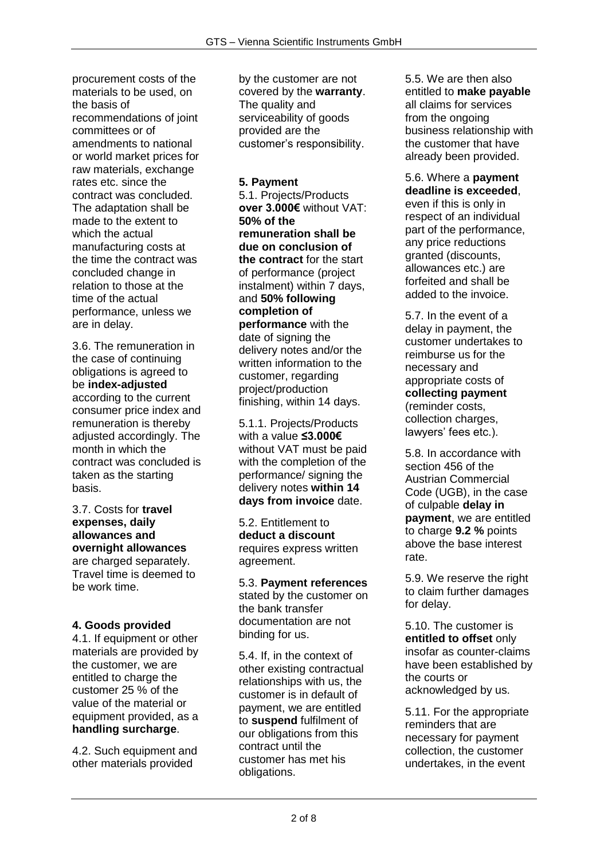procurement costs of the materials to be used, on the basis of recommendations of joint committees or of amendments to national or world market prices for raw materials, exchange rates etc. since the contract was concluded. The adaptation shall be made to the extent to which the actual manufacturing costs at the time the contract was concluded change in relation to those at the time of the actual performance, unless we are in delay.

3.6. The remuneration in the case of continuing obligations is agreed to be **index-adjusted**  according to the current consumer price index and remuneration is thereby adjusted accordingly. The month in which the contract was concluded is taken as the starting basis.

3.7. Costs for **travel expenses, daily allowances and overnight allowances**  are charged separately. Travel time is deemed to be work time.

## **4. Goods provided**

4.1. If equipment or other materials are provided by the customer, we are entitled to charge the customer 25 % of the value of the material or equipment provided, as a **handling surcharge**.

4.2. Such equipment and other materials provided

by the customer are not covered by the **warranty**. The quality and serviceability of goods provided are the customer's responsibility.

#### **5. Payment**

5.1. Projects/Products **over 3.000€** without VAT: **50% of the remuneration shall be due on conclusion of the contract** for the start of performance (project instalment) within 7 days, and **50% following completion of performance** with the date of signing the delivery notes and/or the written information to the customer, regarding project/production finishing, within 14 days.

5.1.1. Projects/Products with a value **≤3.000€** without VAT must be paid with the completion of the performance/ signing the delivery notes **within 14 days from invoice** date.

5.2. Entitlement to **deduct a discount**  requires express written agreement.

5.3. **Payment references**  stated by the customer on the bank transfer documentation are not binding for us.

5.4. If, in the context of other existing contractual relationships with us, the customer is in default of payment, we are entitled to **suspend** fulfilment of our obligations from this contract until the customer has met his obligations.

5.5. We are then also entitled to **make payable**  all claims for services from the ongoing business relationship with the customer that have already been provided.

#### 5.6. Where a **payment deadline is exceeded**,

even if this is only in respect of an individual part of the performance, any price reductions granted (discounts, allowances etc.) are forfeited and shall be added to the invoice.

5.7. In the event of a delay in payment, the customer undertakes to reimburse us for the necessary and appropriate costs of **collecting payment**  (reminder costs, collection charges, lawyers' fees etc.).

5.8. In accordance with section 456 of the Austrian Commercial Code (UGB), in the case of culpable **delay in payment**, we are entitled to charge **9.2 %** points above the base interest rate.

5.9. We reserve the right to claim further damages for delay.

5.10. The customer is **entitled to offset** only insofar as counter-claims have been established by the courts or acknowledged by us.

5.11. For the appropriate reminders that are necessary for payment collection, the customer undertakes, in the event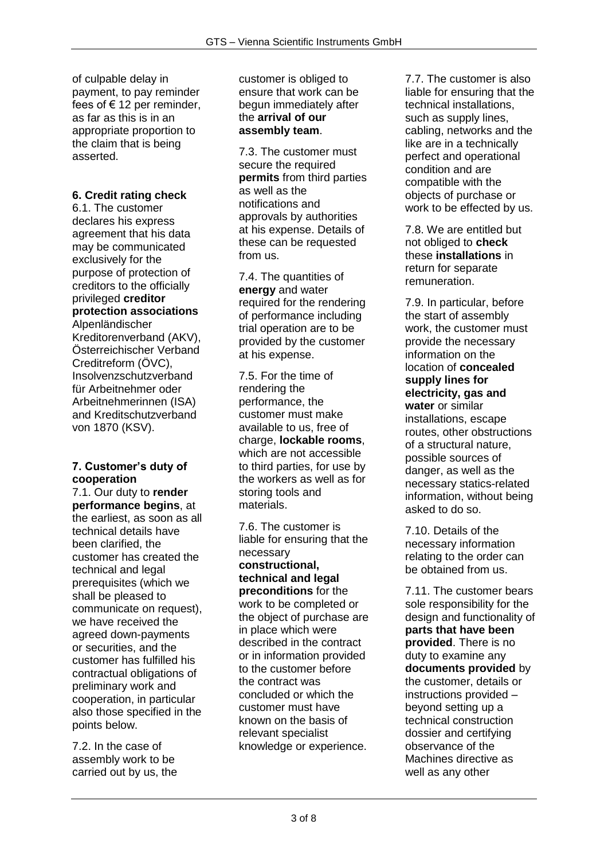of culpable delay in payment, to pay reminder fees of € 12 per reminder, as far as this is in an appropriate proportion to the claim that is being asserted.

# **6. Credit rating check**

6.1. The customer declares his express agreement that his data may be communicated exclusively for the purpose of protection of creditors to the officially privileged **creditor protection associations**  Alpenländischer Kreditorenverband (AKV), Österreichischer Verband Creditreform (ÖVC), Insolvenzschutzverband für Arbeitnehmer oder Arbeitnehmerinnen (ISA) and Kreditschutzverband von 1870 (KSV).

### **7. Customer's duty of cooperation**

7.1. Our duty to **render performance begins**, at the earliest, as soon as all technical details have been clarified, the customer has created the technical and legal prerequisites (which we shall be pleased to communicate on request), we have received the agreed down-payments or securities, and the customer has fulfilled his contractual obligations of preliminary work and cooperation, in particular also those specified in the points below.

7.2. In the case of assembly work to be carried out by us, the customer is obliged to ensure that work can be begun immediately after the **arrival of our assembly team**.

7.3. The customer must secure the required **permits** from third parties as well as the notifications and approvals by authorities at his expense. Details of these can be requested from us.

7.4. The quantities of **energy** and water required for the rendering of performance including trial operation are to be provided by the customer at his expense.

7.5. For the time of rendering the performance, the customer must make available to us, free of charge, **lockable rooms**, which are not accessible to third parties, for use by the workers as well as for storing tools and materials.

7.6. The customer is liable for ensuring that the necessary **constructional, technical and legal preconditions** for the work to be completed or the object of purchase are in place which were described in the contract or in information provided to the customer before the contract was concluded or which the customer must have known on the basis of relevant specialist knowledge or experience.

7.7. The customer is also liable for ensuring that the technical installations, such as supply lines, cabling, networks and the like are in a technically perfect and operational condition and are compatible with the objects of purchase or work to be effected by us.

7.8. We are entitled but not obliged to **check**  these **installations** in return for separate remuneration.

7.9. In particular, before the start of assembly work, the customer must provide the necessary information on the location of **concealed supply lines for electricity, gas and water** or similar installations, escape routes, other obstructions of a structural nature, possible sources of danger, as well as the necessary statics-related information, without being asked to do so.

7.10. Details of the necessary information relating to the order can be obtained from us.

7.11. The customer bears sole responsibility for the design and functionality of **parts that have been provided**. There is no duty to examine any **documents provided** by the customer, details or instructions provided – beyond setting up a technical construction dossier and certifying observance of the Machines directive as well as any other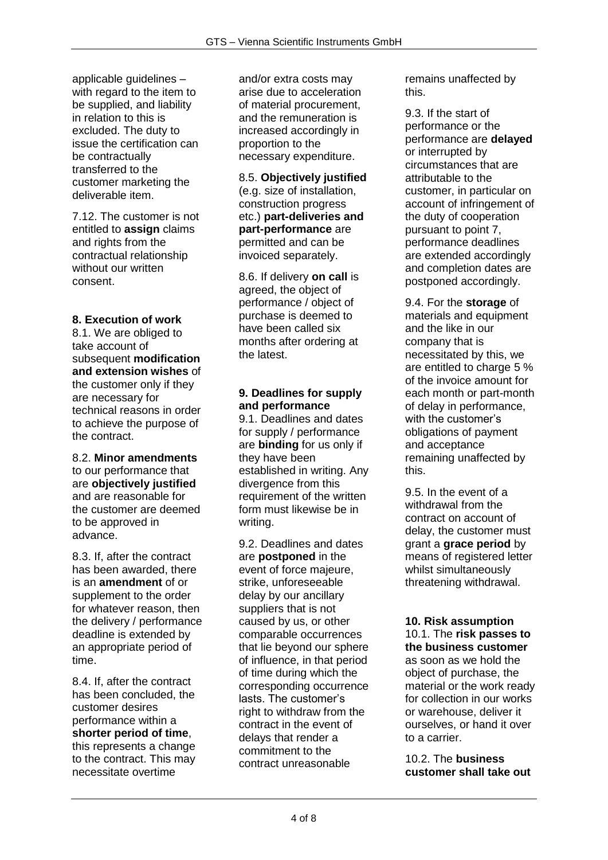applicable guidelines – with regard to the item to be supplied, and liability in relation to this is excluded. The duty to issue the certification can be contractually transferred to the customer marketing the deliverable item.

7.12. The customer is not entitled to **assign** claims and rights from the contractual relationship without our written consent.

## **8. Execution of work**

8.1. We are obliged to take account of subsequent **modification and extension wishes** of the customer only if they are necessary for technical reasons in order to achieve the purpose of the contract.

#### 8.2. **Minor amendments**  to our performance that are **objectively justified**  and are reasonable for the customer are deemed to be approved in advance.

8.3. If, after the contract has been awarded, there is an **amendment** of or supplement to the order for whatever reason, then the delivery / performance deadline is extended by an appropriate period of time.

8.4. If, after the contract has been concluded, the customer desires performance within a **shorter period of time**, this represents a change to the contract. This may necessitate overtime

and/or extra costs may arise due to acceleration of material procurement, and the remuneration is increased accordingly in proportion to the necessary expenditure.

8.5. **Objectively justified**  (e.g. size of installation, construction progress etc.) **part-deliveries and part-performance** are permitted and can be invoiced separately.

8.6. If delivery **on call** is agreed, the object of performance / object of purchase is deemed to have been called six months after ordering at the latest.

### **9. Deadlines for supply and performance**

9.1. Deadlines and dates for supply / performance are **binding** for us only if they have been established in writing. Any divergence from this requirement of the written form must likewise be in writing.

9.2. Deadlines and dates are **postponed** in the event of force majeure, strike, unforeseeable delay by our ancillary suppliers that is not caused by us, or other comparable occurrences that lie beyond our sphere of influence, in that period of time during which the corresponding occurrence lasts. The customer's right to withdraw from the contract in the event of delays that render a commitment to the contract unreasonable

remains unaffected by this.

9.3. If the start of performance or the performance are **delayed**  or interrupted by circumstances that are attributable to the customer, in particular on account of infringement of the duty of cooperation pursuant to point 7, performance deadlines are extended accordingly and completion dates are postponed accordingly.

9.4. For the **storage** of materials and equipment and the like in our company that is necessitated by this, we are entitled to charge 5 % of the invoice amount for each month or part-month of delay in performance, with the customer's obligations of payment and acceptance remaining unaffected by this.

9.5. In the event of a withdrawal from the contract on account of delay, the customer must grant a **grace period** by means of registered letter whilst simultaneously threatening withdrawal.

### **10. Risk assumption**

10.1. The **risk passes to the business customer**  as soon as we hold the object of purchase, the material or the work ready for collection in our works or warehouse, deliver it ourselves, or hand it over to a carrier.

10.2. The **business customer shall take out**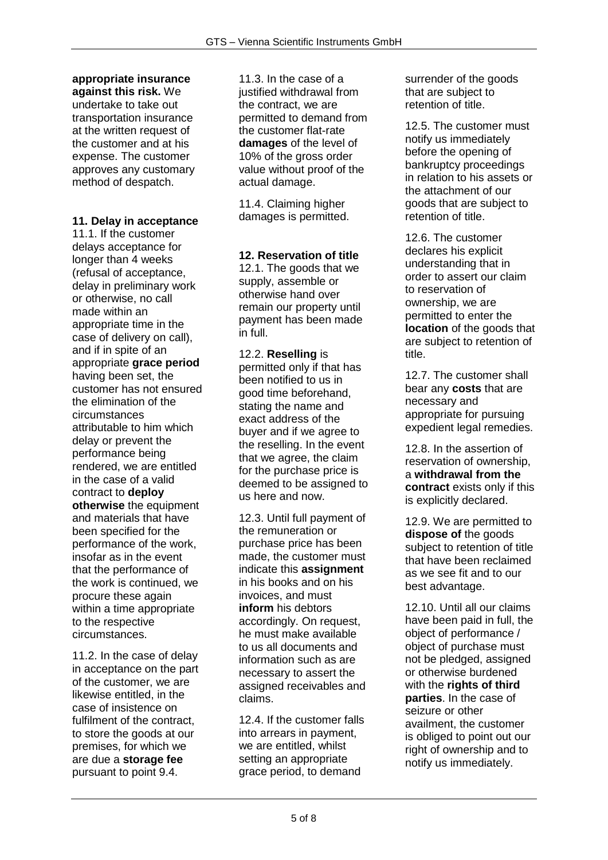# **appropriate insurance**

**against this risk.** We undertake to take out transportation insurance at the written request of the customer and at his expense. The customer approves any customary method of despatch.

# **11. Delay in acceptance**

11.1. If the customer delays acceptance for longer than 4 weeks (refusal of acceptance, delay in preliminary work or otherwise, no call made within an appropriate time in the case of delivery on call), and if in spite of an appropriate **grace period**  having been set, the customer has not ensured the elimination of the circumstances attributable to him which delay or prevent the performance being rendered, we are entitled in the case of a valid contract to **deploy otherwise** the equipment and materials that have been specified for the performance of the work, insofar as in the event that the performance of the work is continued, we procure these again within a time appropriate to the respective circumstances.

11.2. In the case of delay in acceptance on the part of the customer, we are likewise entitled, in the case of insistence on fulfilment of the contract, to store the goods at our premises, for which we are due a **storage fee**  pursuant to point 9.4.

11.3. In the case of a justified withdrawal from the contract, we are permitted to demand from the customer flat-rate **damages** of the level of 10% of the gross order value without proof of the actual damage.

11.4. Claiming higher damages is permitted.

### **12. Reservation of title**

12.1. The goods that we supply, assemble or otherwise hand over remain our property until payment has been made in full.

12.2. **Reselling** is permitted only if that has been notified to us in good time beforehand, stating the name and exact address of the buyer and if we agree to the reselling. In the event that we agree, the claim for the purchase price is deemed to be assigned to us here and now.

12.3. Until full payment of the remuneration or purchase price has been made, the customer must indicate this **assignment**  in his books and on his invoices, and must **inform** his debtors accordingly. On request, he must make available to us all documents and information such as are necessary to assert the assigned receivables and claims.

12.4. If the customer falls into arrears in payment, we are entitled, whilst setting an appropriate grace period, to demand

surrender of the goods that are subject to retention of title.

12.5. The customer must notify us immediately before the opening of bankruptcy proceedings in relation to his assets or the attachment of our goods that are subject to retention of title.

12.6. The customer declares his explicit understanding that in order to assert our claim to reservation of ownership, we are permitted to enter the **location** of the goods that are subject to retention of title.

12.7. The customer shall bear any **costs** that are necessary and appropriate for pursuing expedient legal remedies.

12.8. In the assertion of reservation of ownership, a **withdrawal from the contract** exists only if this is explicitly declared.

12.9. We are permitted to **dispose of** the goods subject to retention of title that have been reclaimed as we see fit and to our best advantage.

12.10. Until all our claims have been paid in full, the object of performance / object of purchase must not be pledged, assigned or otherwise burdened with the **rights of third parties**. In the case of seizure or other availment, the customer is obliged to point out our right of ownership and to notify us immediately.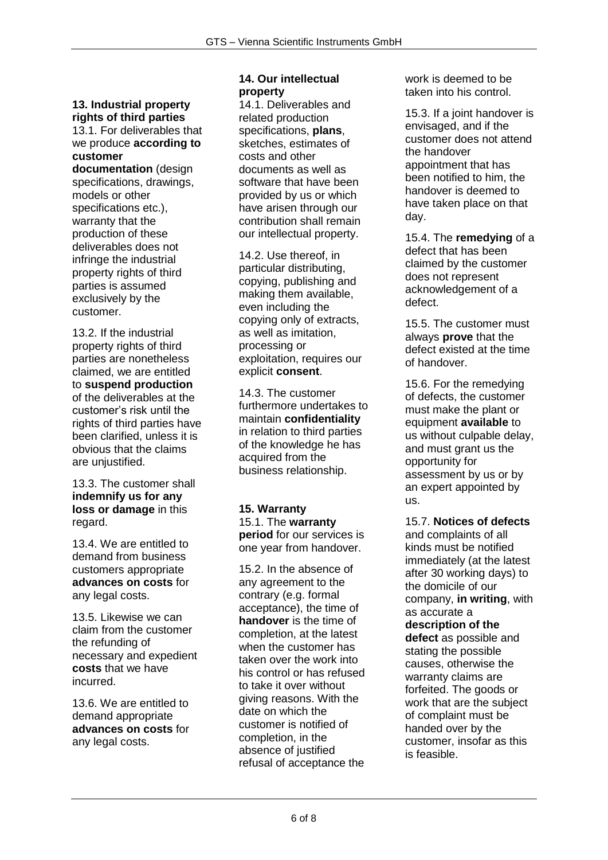# **13. Industrial property rights of third parties**

13.1. For deliverables that we produce **according to customer** 

**documentation** (design specifications, drawings, models or other specifications etc.), warranty that the production of these deliverables does not infringe the industrial property rights of third parties is assumed exclusively by the customer.

13.2. If the industrial property rights of third parties are nonetheless claimed, we are entitled to **suspend production**  of the deliverables at the customer's risk until the rights of third parties have been clarified, unless it is obvious that the claims are unjustified.

13.3. The customer shall **indemnify us for any loss or damage** in this regard.

13.4. We are entitled to demand from business customers appropriate **advances on costs** for any legal costs.

13.5. Likewise we can claim from the customer the refunding of necessary and expedient **costs** that we have incurred.

13.6. We are entitled to demand appropriate **advances on costs** for any legal costs.

# **14. Our intellectual property**

14.1. Deliverables and related production specifications, **plans**, sketches, estimates of costs and other documents as well as software that have been provided by us or which have arisen through our contribution shall remain our intellectual property.

14.2. Use thereof, in particular distributing, copying, publishing and making them available, even including the copying only of extracts, as well as imitation, processing or exploitation, requires our explicit **consent**.

14.3. The customer furthermore undertakes to maintain **confidentiality**  in relation to third parties of the knowledge he has acquired from the business relationship.

**15. Warranty**  15.1. The **warranty period** for our services is one year from handover.

15.2. In the absence of any agreement to the contrary (e.g. formal acceptance), the time of **handover** is the time of completion, at the latest when the customer has taken over the work into his control or has refused to take it over without giving reasons. With the date on which the customer is notified of completion, in the absence of justified refusal of acceptance the

work is deemed to be taken into his control.

15.3. If a joint handover is envisaged, and if the customer does not attend the handover appointment that has been notified to him, the handover is deemed to have taken place on that day.

15.4. The **remedying** of a defect that has been claimed by the customer does not represent acknowledgement of a defect.

15.5. The customer must always **prove** that the defect existed at the time of handover.

15.6. For the remedying of defects, the customer must make the plant or equipment **available** to us without culpable delay, and must grant us the opportunity for assessment by us or by an expert appointed by us.

15.7. **Notices of defects**  and complaints of all kinds must be notified immediately (at the latest after 30 working days) to the domicile of our company, **in writing**, with as accurate a **description of the defect** as possible and stating the possible causes, otherwise the warranty claims are forfeited. The goods or work that are the subject of complaint must be handed over by the customer, insofar as this is feasible.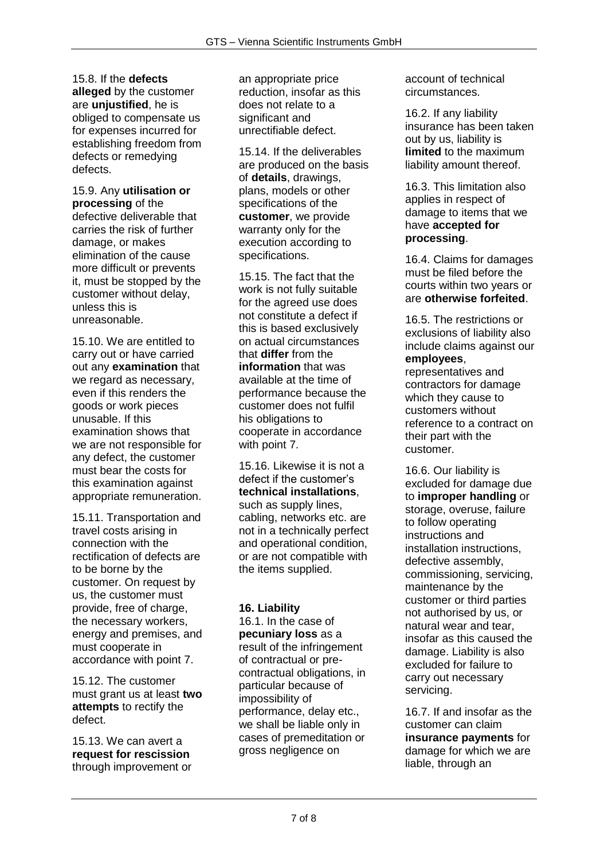15.8. If the **defects alleged** by the customer are **unjustified**, he is obliged to compensate us for expenses incurred for establishing freedom from defects or remedying defects.

15.9. Any **utilisation or processing** of the defective deliverable that carries the risk of further damage, or makes elimination of the cause more difficult or prevents it, must be stopped by the customer without delay, unless this is unreasonable.

15.10. We are entitled to carry out or have carried out any **examination** that we regard as necessary. even if this renders the goods or work pieces unusable. If this examination shows that we are not responsible for any defect, the customer must bear the costs for this examination against appropriate remuneration.

15.11. Transportation and travel costs arising in connection with the rectification of defects are to be borne by the customer. On request by us, the customer must provide, free of charge, the necessary workers, energy and premises, and must cooperate in accordance with point 7.

15.12. The customer must grant us at least **two attempts** to rectify the defect.

15.13. We can avert a **request for rescission**  through improvement or an appropriate price reduction, insofar as this does not relate to a significant and unrectifiable defect.

15.14. If the deliverables are produced on the basis of **details**, drawings, plans, models or other specifications of the **customer**, we provide warranty only for the execution according to specifications.

15.15. The fact that the work is not fully suitable for the agreed use does not constitute a defect if this is based exclusively on actual circumstances that **differ** from the **information** that was available at the time of performance because the customer does not fulfil his obligations to cooperate in accordance with point 7.

15.16. Likewise it is not a defect if the customer's **technical installations**, such as supply lines, cabling, networks etc. are not in a technically perfect and operational condition, or are not compatible with the items supplied.

### **16. Liability**

16.1. In the case of **pecuniary loss** as a result of the infringement of contractual or precontractual obligations, in particular because of impossibility of performance, delay etc., we shall be liable only in cases of premeditation or gross negligence on

account of technical circumstances.

16.2. If any liability insurance has been taken out by us, liability is **limited** to the maximum liability amount thereof.

16.3. This limitation also applies in respect of damage to items that we have **accepted for processing**.

16.4. Claims for damages must be filed before the courts within two years or are **otherwise forfeited**.

16.5. The restrictions or exclusions of liability also include claims against our **employees**,

representatives and contractors for damage which they cause to customers without reference to a contract on their part with the customer.

16.6. Our liability is excluded for damage due to **improper handling** or storage, overuse, failure to follow operating instructions and installation instructions, defective assembly, commissioning, servicing, maintenance by the customer or third parties not authorised by us, or natural wear and tear, insofar as this caused the damage. Liability is also excluded for failure to carry out necessary servicing.

16.7. If and insofar as the customer can claim **insurance payments** for damage for which we are liable, through an